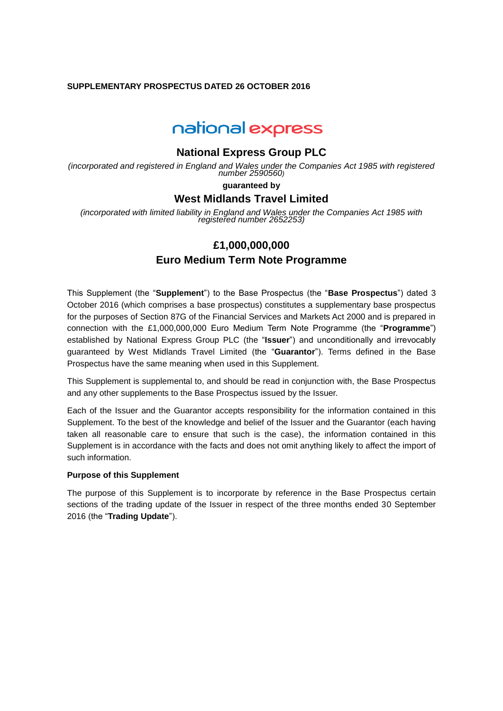## **SUPPLEMENTARY PROSPECTUS DATED 26 OCTOBER 2016**

# national express

# **National Express Group PLC**

*(incorporated and registered in England and Wales under the Companies Act 1985 with registered number 2590560)*

### **guaranteed by**

# **West Midlands Travel Limited**

*(incorporated with limited liability in England and Wales under the Companies Act 1985 with registered number 2652253)*

# **£1,000,000,000 Euro Medium Term Note Programme**

This Supplement (the "**Supplement**") to the Base Prospectus (the "**Base Prospectus**") dated 3 October 2016 (which comprises a base prospectus) constitutes a supplementary base prospectus for the purposes of Section 87G of the Financial Services and Markets Act 2000 and is prepared in connection with the £1,000,000,000 Euro Medium Term Note Programme (the "**Programme**") established by National Express Group PLC (the "**Issuer**") and unconditionally and irrevocably guaranteed by West Midlands Travel Limited (the "**Guarantor**"). Terms defined in the Base Prospectus have the same meaning when used in this Supplement.

This Supplement is supplemental to, and should be read in conjunction with, the Base Prospectus and any other supplements to the Base Prospectus issued by the Issuer.

Each of the Issuer and the Guarantor accepts responsibility for the information contained in this Supplement. To the best of the knowledge and belief of the Issuer and the Guarantor (each having taken all reasonable care to ensure that such is the case), the information contained in this Supplement is in accordance with the facts and does not omit anything likely to affect the import of such information.

#### **Purpose of this Supplement**

The purpose of this Supplement is to incorporate by reference in the Base Prospectus certain sections of the trading update of the Issuer in respect of the three months ended 30 September 2016 (the "**Trading Update**").